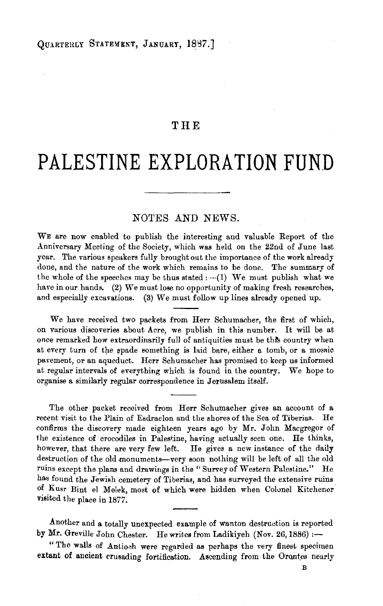## **THE**

## **PALESTINE EXPLORATION FUND**

## NOTES AND NEWS.

WE are now enabled to publish the interesting and valuable Report of the .Anniversary Meeting of the Society, which was held on the 22nd of Jnne last year. The various speakers fully brought out the importance of the work already done, and the nature of the work which remains to be done. The summary of the whole of the speeches may be thus stated  $:-(1)$  We must publish what we have in our hands. (2) We must lose no opportunity of making fresh researches, and especially excavations. (3) We must follow up lines already opened up.

We have received two packets from Herr Schumacher, the first of which, on various discoveries about Acre, we publish in this number. It will be at once remarked how extraordinarily full of antiquities must be this country when at every turn of the spade something is laid bare, either a tomb, or a mosaic pavement, or an aqueduct. Herr Schumacher has promised to keep us informed at regular intervals of everything which is found in the country. We hope to organise a similarly regular correspondence in Jerusalem itself.

The other packet received from Herr Schumacher gives an account of a recent visit to the Plain of Esdraelon and the shores of the Sea of Tiberias. He confirms the discovery made eighteen years ago by Mr. John Macgregor of the existence of crocodiles in Palestine, having actually seen one. He thinks, however, that there are very few left. He gives a new instance of the daily destruction of the old monuments-very soon nothing will be left of all the old ruins except the plans and drawings in the "Survey of Western Palestine." He has found the Jewish cemetery of Tiberias, and has surveyed the extensive ruins of Kusr Bint el Melek, most of which were hidden when Colunel Kitchener visited the place in 1877 .

.Another and a totally unexpected example of wanton destruetion is reported by Mr. Greville John Chester. He writes from Ladikiyeh (Nov. 26, 1886) :-

" The walls of Antioch were regarded as perhaps the very finest specimen extant of ancient crusading fortification. Ascending from the Orontes nearly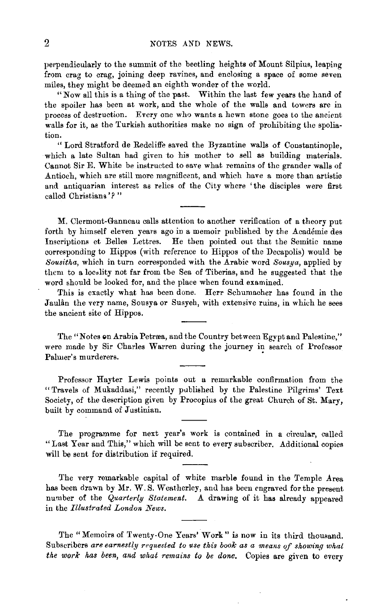perpendicularly to the summit of the beetling heights of Mount Silpius, leaping from crag to crag, joining deep ravines, and enclosing a space of some seven miles, they might be deemed an eighth wonder of the world.

"Now all this is a thing of the past. Within the last few years the hand of the spoiler has been at work, and the whole of the walls and towers are in process of destruction. Every one who wants a hewn stone goes to the ancient walls for it, as the Turkish authorities make no sign of prohibiting the spoliation.

" Lord Stratford de Redcliffe saved the Byzantine walls of Constantinople, which a late Sultan had given to his mother to sell as building materials. Cannot Sir E. White be instructed to eave what. remains of the grander walls of Antioch, which are still more magnificent, and which have a more than artistio and antiquarian interest as relics of the City where 'the disciples were first called Christians *'?* "

M. Clermont-Ganneau calls attention to another verification of a theory put forth by himself eleven years ago in a memoir published by the Académie des Inscriptions et Belles Lettres. He then pointed out that the Semitic name corresponding to Hippos (with reference to Hippos of the Decapolis) would be *Sousitha,* which in turn corresponded with the Arabic word *Sousya,* applied by them to a loc•lity not far from the Sea of Tiberias, and he suggested that the word should be looked for, and the place when found examined.

This is exactly what has been done. Herr Schumacher has found in the Jaulân the very name, Sousya or Susyeh, with extensive ruins, in which he sees the ancient site of Hippos.

The "Notes on Arabia Petræa, and the Country between Egypt and Palestine," were made by Sir Charles Warren during the journey in search of Professor Palmer's murderers.

Professor Hayter Lewis points out a remarkable confirmation from the "Travels of Mukaddasi," recently published by the Palestine Pilgrims' Text Society, of the description given by Procopius of the great Church of St. Mary, built by command of Justinian.

The programme for next year's work is contained in a circular, called "Last Year and This," which will be sent to every subscriber. Additional copies will be sent for distribution if required.

The very remarkable capital of white marble found in the Temple Area has been drawn by Mr. W. S. Weatherley, and has been engraved for the present number of the *Quarterly Statement.* A drawing of it has already appeared in the *Illustrated London News.* 

The "Memoirs of Twenty-One Yenrs' Work" is now in its third thousand. Subscribers are earnestly requested to use this book as a means of showing what the work has been, and what remains to be done. Copies are given to every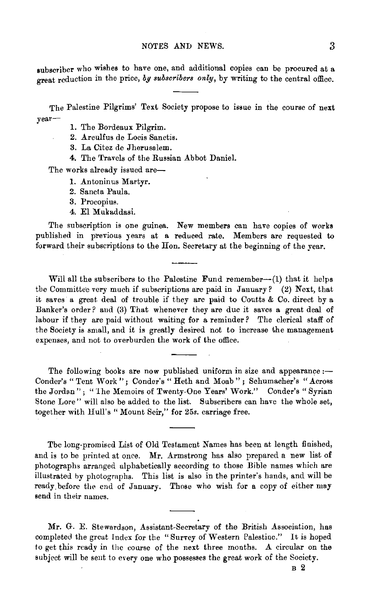subscriber who wishes to have one, and additional copies can be procured at a great reduction in the price, by subscribers only, by writing to the central office.

The Palestine Pilgrims' Text Society propose to issue in the course of next year-

- 1. The Bordeaux Pilgrim.
- 2. Arculfus de Locis Sanctis.
- 3. La Citez de Jherusalem.
- 4. The Travels of the Russian Abbot Daniel.

The works already issued are-

- 1. Antoninus Martyr.
- 2. Sancta Pau1a.
- 3. Procopius.
- 4. El Mukaddasi.

The subscription is one guinea. New members can have copies of works published in previous years at a reduced rate. Members are requested to forward their subscriptions to the Hon. Secretary at the beginning of the year.

Will all the subscribers to the Palestine Fund remember--(1) that it helps the Committee very much if subscriptions are paid in January? (2) Next, that it saves a great deal of trouble if they are paid to Coutts & Co. direct by a Banker's order? and (3) That whenever they are due it saves a great deal of labour if they are paid without waiting for a reminder? The clerical staff of the Society is small, and it is greatly desired not to increase the management expenses, and not to overburden the work of the office.

The following books are now published uniform in size and appearance  $:$ Conder's "Tent Work"; Conder's "Heth and Moab"; Schumacher's "Across the Jordan"; "1he Memoirs of Twenty·One Years' Work." Conder's "Syrian Stone Lore" will also be added to the list. Subscribers can have the whole set, together with Hull's "Mount Seir," for *25s.* carriage free.

The long-promised List of Old Testament Names has been at length finished, and is to be printed at once. Mr. Armstrong has also prepared a new list of photographs arranged alphabetically according to those Bible names which are illustrated by photographs. This list is also in the printer's hands, and will be ready. before the end of January. Those who wish for a copy of either may send in their names.

Mr. G. E. Stewardson, Assistant-Secretary of the British Association, has completed the great Index for the " Survey of Western Palestine." It is hoped to get this ready in the course of the next three months. A circular on the subject will be sent to every one who possesses the great work of the Society.